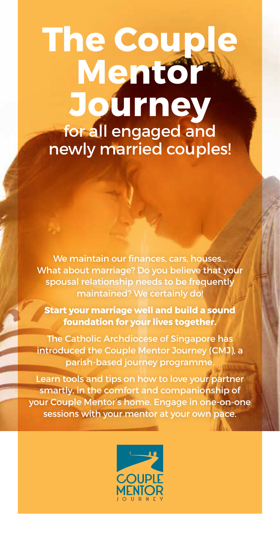# **The Coup Mentor Journey** for all engaged and newly married couples!

We maintain our finances, cars, houses... What about marriage? Do you believe that your spousal relationship needs to be frequently maintained? We certainly do!

**Start your marriage well and build a sound foundation for your lives together.** 

The Catholic Archdiocese of Singapore has introduced the Couple Mentor Journey (CMJ), a parish-based journey programme.

Learn tools and tips on how to love your partner smartly, in the comfort and companionship of your Couple Mentor's home. Engage in one-on-one sessions with your mentor at your own pace.

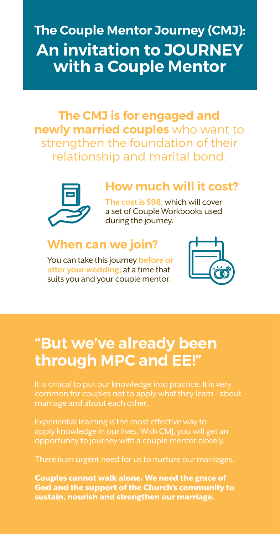### **The Couple Mentor Journey (CMJ): An invitation to JOURNEY with a Couple Mentor**

**The CMJ is for engaged and newly married couples** who want to strengthen the foundation of their relationship and marital bond.



#### **How much will it cost?**

**The cost is \$98,** which will cover a set of Couple Workbooks used during the journey.

### **When can we join?**

You can take this journey **before or after your wedding,** at a time that suits you and your couple mentor.



### **"But we've already been through MPC and EE!"**

common for couples not to apply what they learn - about marriage and about each other.

There is an urgent need for us to nurture our marriages.

Couples cannot walk alone. We need the grace of God and the support of the Church's community to sustain, nourish and strengthen our marriage.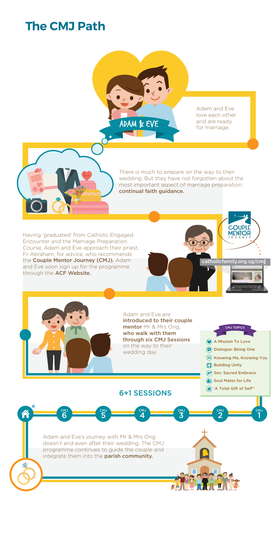#### **The CMJ Path**



Adam and Eve love each other and are ready for marriage.



There is much to prepare on the way to their wedding. But they have not forgotten about the most important aspect of marriage preparation: continual faith guidance.

Having 'graduated' from Catholic Engaged Encounter and the Marriage Preparation Course, Adam and Eve approach their priest, Fr Abraham, for advice, who recommends the Couple Mentor Journey (CMJ). Adam and Eve soon sign up for the programme through the **ACF Website.** 





Adam and Eve are introduced to their couple mentor Mr & Mrs Ong, who walk with them through six CMJ Sessions on the way to their wedding day.



#### 6+1 SESSIONS

**6+1 SESSIONS TOPIC \***  $\overline{6}$   $\overline{5}$  $\overline{5}$   $\overline{4}$  $\frac{3}{4}$   $\frac{3}{3}$  $\overline{3}$   $\overline{2}$   $\overline{2}$  $\overline{2}$   $\overline{1}$ CMJ 6 Adam and Eve's journey with Mr & Mrs Ong doesn't end even after their wedding. The CMJ programme continues to guide the couple and integrate them into the parish community. Ł 文庫